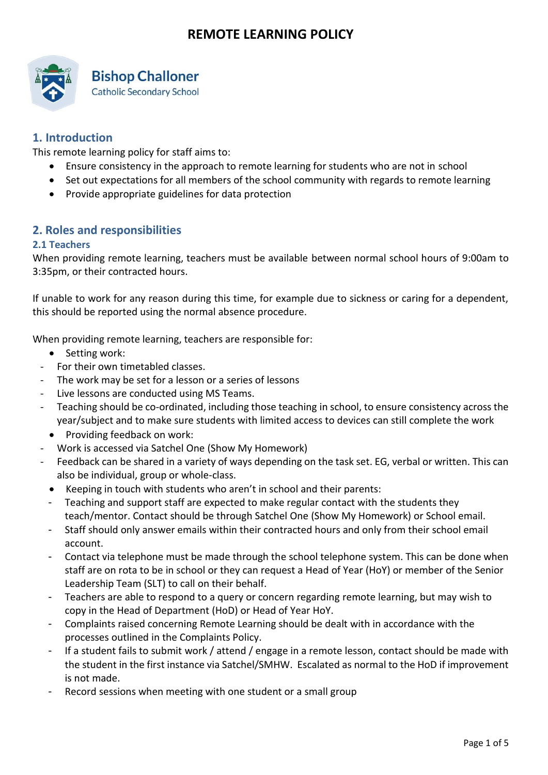

# **Bishop Challoner**

**Catholic Secondary School** 

# **1. Introduction**

This remote learning policy for staff aims to:

- Ensure consistency in the approach to remote learning for students who are not in school
- Set out expectations for all members of the school community with regards to remote learning
- Provide appropriate guidelines for data protection

## **2. Roles and responsibilities**

### **2.1 Teachers**

When providing remote learning, teachers must be available between normal school hours of 9:00am to 3:35pm, or their contracted hours.

If unable to work for any reason during this time, for example due to sickness or caring for a dependent, this should be reported using the normal absence procedure.

When providing remote learning, teachers are responsible for:

- Setting work:
- For their own timetabled classes.
- The work may be set for a lesson or a series of lessons
- Live lessons are conducted using MS Teams.
- Teaching should be co-ordinated, including those teaching in school, to ensure consistency across the year/subject and to make sure students with limited access to devices can still complete the work
- Providing feedback on work:
- Work is accessed via Satchel One (Show My Homework)
- Feedback can be shared in a variety of ways depending on the task set. EG, verbal or written. This can also be individual, group or whole-class.
- Keeping in touch with students who aren't in school and their parents:
- Teaching and support staff are expected to make regular contact with the students they teach/mentor. Contact should be through Satchel One (Show My Homework) or School email.
- Staff should only answer emails within their contracted hours and only from their school email account.
- Contact via telephone must be made through the school telephone system. This can be done when staff are on rota to be in school or they can request a Head of Year (HoY) or member of the Senior Leadership Team (SLT) to call on their behalf.
- Teachers are able to respond to a query or concern regarding remote learning, but may wish to copy in the Head of Department (HoD) or Head of Year HoY.
- Complaints raised concerning Remote Learning should be dealt with in accordance with the processes outlined in the Complaints Policy.
- If a student fails to submit work / attend / engage in a remote lesson, contact should be made with the student in the first instance via Satchel/SMHW. Escalated as normal to the HoD if improvement is not made.
- Record sessions when meeting with one student or a small group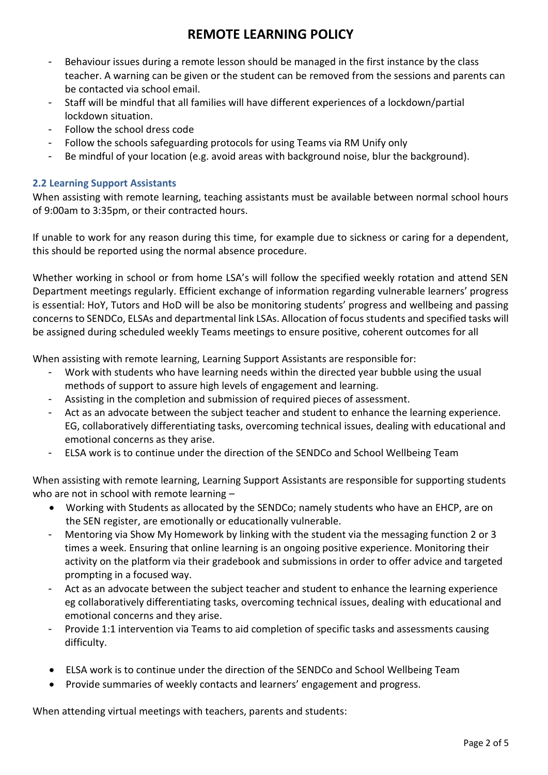- Behaviour issues during a remote lesson should be managed in the first instance by the class teacher. A warning can be given or the student can be removed from the sessions and parents can be contacted via school email.
- Staff will be mindful that all families will have different experiences of a lockdown/partial lockdown situation.
- Follow the school dress code
- Follow the schools safeguarding protocols for using Teams via RM Unify only
- Be mindful of your location (e.g. avoid areas with background noise, blur the background).

### **2.2 Learning Support Assistants**

When assisting with remote learning, teaching assistants must be available between normal school hours of 9:00am to 3:35pm, or their contracted hours.

If unable to work for any reason during this time, for example due to sickness or caring for a dependent, this should be reported using the normal absence procedure.

Whether working in school or from home LSA's will follow the specified weekly rotation and attend SEN Department meetings regularly. Efficient exchange of information regarding vulnerable learners' progress is essential: HoY, Tutors and HoD will be also be monitoring students' progress and wellbeing and passing concerns to SENDCo, ELSAs and departmental link LSAs. Allocation of focus students and specified tasks will be assigned during scheduled weekly Teams meetings to ensure positive, coherent outcomes for all

When assisting with remote learning, Learning Support Assistants are responsible for:

- Work with students who have learning needs within the directed year bubble using the usual methods of support to assure high levels of engagement and learning.
- Assisting in the completion and submission of required pieces of assessment.
- Act as an advocate between the subject teacher and student to enhance the learning experience. EG, collaboratively differentiating tasks, overcoming technical issues, dealing with educational and emotional concerns as they arise.
- ELSA work is to continue under the direction of the SENDCo and School Wellbeing Team

When assisting with remote learning, Learning Support Assistants are responsible for supporting students who are not in school with remote learning –

- Working with Students as allocated by the SENDCo; namely students who have an EHCP, are on the SEN register, are emotionally or educationally vulnerable.
- Mentoring via Show My Homework by linking with the student via the messaging function 2 or 3 times a week. Ensuring that online learning is an ongoing positive experience. Monitoring their activity on the platform via their gradebook and submissions in order to offer advice and targeted prompting in a focused way.
- Act as an advocate between the subject teacher and student to enhance the learning experience eg collaboratively differentiating tasks, overcoming technical issues, dealing with educational and emotional concerns and they arise.
- Provide 1:1 intervention via Teams to aid completion of specific tasks and assessments causing difficulty.
- ELSA work is to continue under the direction of the SENDCo and School Wellbeing Team
- Provide summaries of weekly contacts and learners' engagement and progress.

When attending virtual meetings with teachers, parents and students: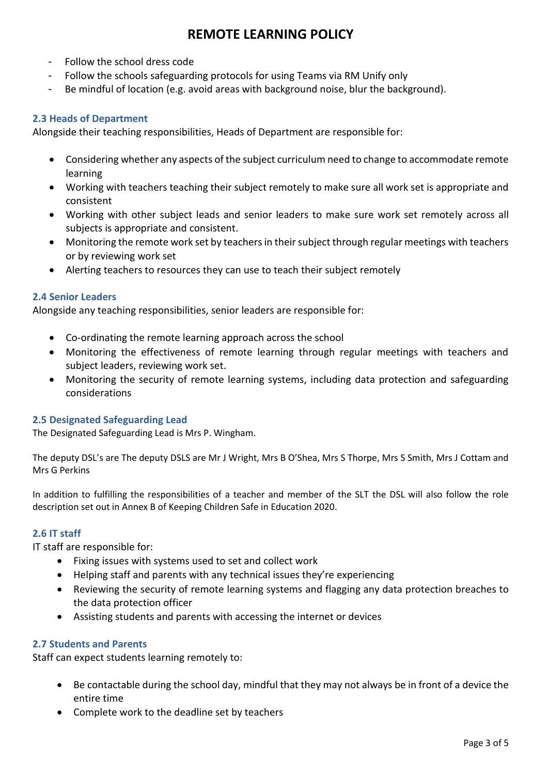- Follow the school dress code
- Follow the schools safeguarding protocols for using Teams via RM Unify only
- Be mindful of location (e.g. avoid areas with background noise, blur the background).

### **2.3 Heads of Department**

Alongside their teaching responsibilities, Heads of Department are responsible for:

- Considering whether any aspects of the subject curriculum need to change to accommodate remote learning
- Working with teachers teaching their subject remotely to make sure all work set is appropriate and consistent
- Working with other subject leads and senior leaders to make sure work set remotely across all subjects is appropriate and consistent.
- Monitoring the remote work set by teachers in their subject through regular meetings with teachers or by reviewing work set
- Alerting teachers to resources they can use to teach their subject remotely

### **2.4 Senior Leaders**

Alongside any teaching responsibilities, senior leaders are responsible for:

- Co-ordinating the remote learning approach across the school
- Monitoring the effectiveness of remote learning through regular meetings with teachers and subject leaders, reviewing work set.
- Monitoring the security of remote learning systems, including data protection and safeguarding considerations

#### **2.5 Designated Safeguarding Lead**

The Designated Safeguarding Lead is Mrs P. Wingham.

The deputy DSL's are The deputy DSLS are Mr J Wright, Mrs B O'Shea, Mrs S Thorpe, Mrs S Smith, Mrs J Cottam and Mrs G Perkins

In addition to fulfilling the responsibilities of a teacher and member of the SLT the DSL will also follow the role description set out in Annex B of Keeping Children Safe in Education 2020.

#### **2.6 IT staff**

IT staff are responsible for:

- Fixing issues with systems used to set and collect work
- Helping staff and parents with any technical issues they're experiencing
- Reviewing the security of remote learning systems and flagging any data protection breaches to the data protection officer
- Assisting students and parents with accessing the internet or devices

#### **2.7 Students and Parents**

Staff can expect students learning remotely to:

- Be contactable during the school day, mindful that they may not always be in front of a device the entire time
- Complete work to the deadline set by teachers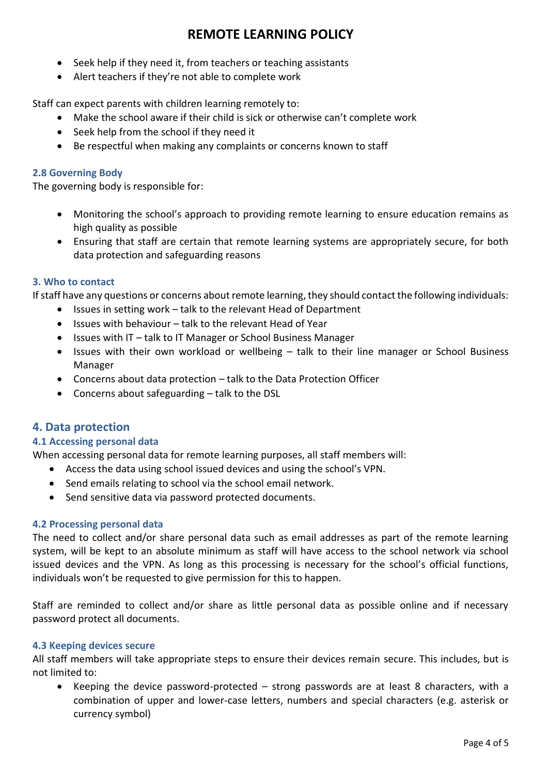- Seek help if they need it, from teachers or teaching assistants
- Alert teachers if they're not able to complete work

Staff can expect parents with children learning remotely to:

- Make the school aware if their child is sick or otherwise can't complete work
- Seek help from the school if they need it
- Be respectful when making any complaints or concerns known to staff

### **2.8 Governing Body**

The governing body is responsible for:

- Monitoring the school's approach to providing remote learning to ensure education remains as high quality as possible
- Ensuring that staff are certain that remote learning systems are appropriately secure, for both data protection and safeguarding reasons

### **3. Who to contact**

If staff have any questions or concerns about remote learning, they should contact the following individuals:

- Issues in setting work talk to the relevant Head of Department
- Issues with behaviour talk to the relevant Head of Year
- Issues with IT talk to IT Manager or School Business Manager
- Issues with their own workload or wellbeing talk to their line manager or School Business Manager
- Concerns about data protection talk to the Data Protection Officer
- Concerns about safeguarding talk to the DSL

## **4. Data protection**

#### **4.1 Accessing personal data**

When accessing personal data for remote learning purposes, all staff members will:

- Access the data using school issued devices and using the school's VPN.
- Send emails relating to school via the school email network.
- Send sensitive data via password protected documents.

#### **4.2 Processing personal data**

The need to collect and/or share personal data such as email addresses as part of the remote learning system, will be kept to an absolute minimum as staff will have access to the school network via school issued devices and the VPN. As long as this processing is necessary for the school's official functions, individuals won't be requested to give permission for this to happen.

Staff are reminded to collect and/or share as little personal data as possible online and if necessary password protect all documents.

#### **4.3 Keeping devices secure**

All staff members will take appropriate steps to ensure their devices remain secure. This includes, but is not limited to:

 Keeping the device password-protected – strong passwords are at least 8 characters, with a combination of upper and lower-case letters, numbers and special characters (e.g. asterisk or currency symbol)